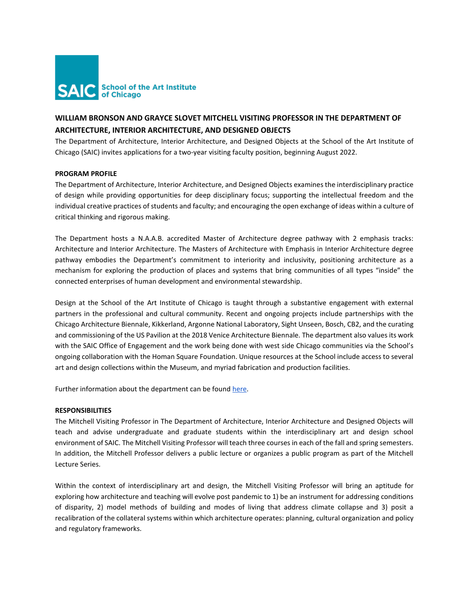

# **WILLIAM BRONSON AND GRAYCE SLOVET MITCHELL VISITING PROFESSOR IN THE DEPARTMENT OF ARCHITECTURE, INTERIOR ARCHITECTURE, AND DESIGNED OBJECTS**

The Department of Architecture, Interior Architecture, and Designed Objects at the School of the Art Institute of Chicago (SAIC) invites applications for a two-year visiting faculty position, beginning August 2022.

# **PROGRAM PROFILE**

The Department of Architecture, Interior Architecture, and Designed Objects examines the interdisciplinary practice of design while providing opportunities for deep disciplinary focus; supporting the intellectual freedom and the individual creative practices of students and faculty; and encouraging the open exchange of ideas within a culture of critical thinking and rigorous making.

The Department hosts a N.A.A.B. accredited Master of Architecture degree pathway with 2 emphasis tracks: Architecture and Interior Architecture. The Masters of Architecture with Emphasis in Interior Architecture degree pathway embodies the Department's commitment to interiority and inclusivity, positioning architecture as a mechanism for exploring the production of places and systems that bring communities of all types "inside" the connected enterprises of human development and environmental stewardship.

Design at the School of the Art Institute of Chicago is taught through a substantive engagement with external partners in the professional and cultural community. Recent and ongoing projects include partnerships with the Chicago Architecture Biennale, Kikkerland, Argonne National Laboratory, Sight Unseen, Bosch, CB2, and the curating and commissioning of the US Pavilion at the 2018 Venice Architecture Biennale. The department also values its work with the SAIC Office of Engagement and the work being done with west side Chicago communities via the School's ongoing collaboration with the Homan Square Foundation. Unique resources at the School include access to several art and design collections within the Museum, and myriad fabrication and production facilities.

Further information about the department can be found [here.](http://www.saic.edu/academics/departments/aiado/) 

### **RESPONSIBILITIES**

The Mitchell Visiting Professor in The Department of Architecture, Interior Architecture and Designed Objects will teach and advise undergraduate and graduate students within the interdisciplinary art and design school environment of SAIC. The Mitchell Visiting Professor will teach three courses in each of the fall and spring semesters. In addition, the Mitchell Professor delivers a public lecture or organizes a public program as part of the Mitchell Lecture Series.

Within the context of interdisciplinary art and design, the Mitchell Visiting Professor will bring an aptitude for exploring how architecture and teaching will evolve post pandemic to 1) be an instrument for addressing conditions of disparity, 2) model methods of building and modes of living that address climate collapse and 3) posit a recalibration of the collateral systems within which architecture operates: planning, cultural organization and policy and regulatory frameworks.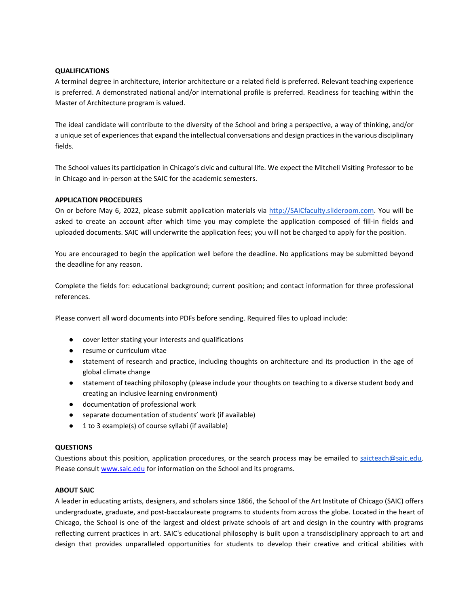# **QUALIFICATIONS**

A terminal degree in architecture, interior architecture or a related field is preferred. Relevant teaching experience is preferred. A demonstrated national and/or international profile is preferred. Readiness for teaching within the Master of Architecture program is valued.

The ideal candidate will contribute to the diversity of the School and bring a perspective, a way of thinking, and/or a unique set of experiences that expand the intellectual conversations and design practices in the various disciplinary fields.

The School values its participation in Chicago's civic and cultural life. We expect the Mitchell Visiting Professor to be in Chicago and in-person at the SAIC for the academic semesters.

# **APPLICATION PROCEDURES**

On or before May 6, 2022, please submit application materials via [http://SAICfaculty.slideroom.com.](http://saicfaculty.slideroom.com/) You will be asked to create an account after which time you may complete the application composed of fill-in fields and uploaded documents. SAIC will underwrite the application fees; you will not be charged to apply for the position.

You are encouraged to begin the application well before the deadline. No applications may be submitted beyond the deadline for any reason.

Complete the fields for: educational background; current position; and contact information for three professional references.

Please convert all word documents into PDFs before sending. Required files to upload include:

- cover letter stating your interests and qualifications
- resume or curriculum vitae
- statement of research and practice, including thoughts on architecture and its production in the age of global climate change
- statement of teaching philosophy (please include your thoughts on teaching to a diverse student body and creating an inclusive learning environment)
- documentation of professional work
- separate documentation of students' work (if available)
- 1 to 3 example(s) of course syllabi (if available)

### **QUESTIONS**

Questions about this position, application procedures, or the search process may be emailed to saicteach@saic.edu. Please consult [www.saic.edu](http://www.saic.edu/) for information on the School and its programs.

### **ABOUT SAIC**

A leader in educating artists, designers, and scholars since 1866, the School of the Art Institute of Chicago (SAIC) offers undergraduate, graduate, and post-baccalaureate programs to students from across the globe. Located in the heart of Chicago, the School is one of the largest and oldest private schools of art and design in the country with programs reflecting current practices in art. SAIC's educational philosophy is built upon a transdisciplinary approach to art and design that provides unparalleled opportunities for students to develop their creative and critical abilities with